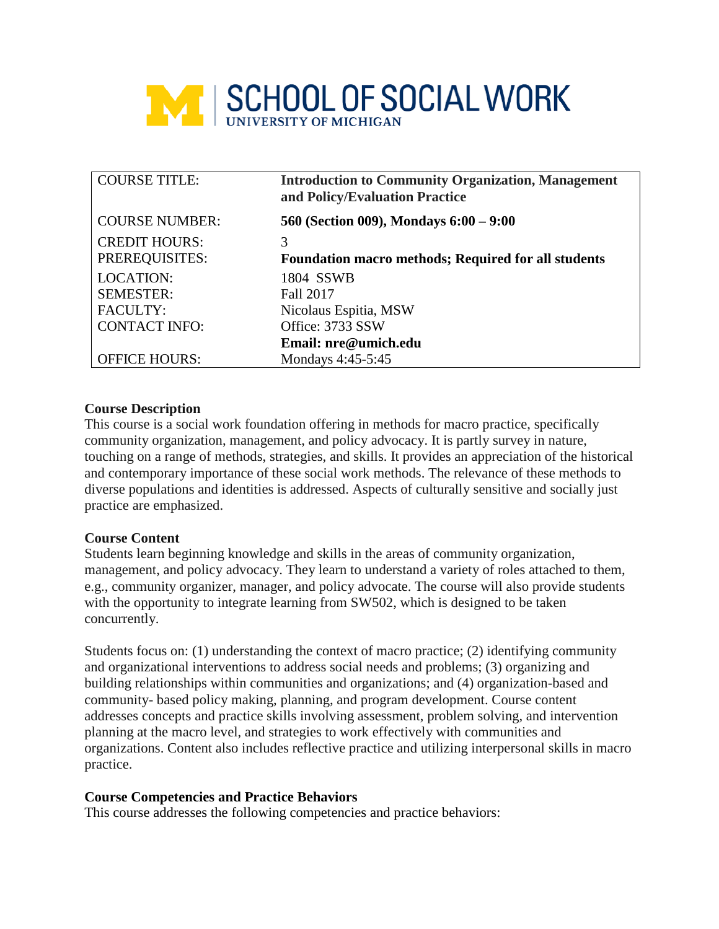

| <b>COURSE TITLE:</b>                   | <b>Introduction to Community Organization, Management</b><br>and Policy/Evaluation Practice |  |  |
|----------------------------------------|---------------------------------------------------------------------------------------------|--|--|
| <b>COURSE NUMBER:</b>                  | 560 (Section 009), Mondays 6:00 - 9:00                                                      |  |  |
| <b>CREDIT HOURS:</b><br>PREREQUISITES: | 3<br><b>Foundation macro methods; Required for all students</b>                             |  |  |
| <b>LOCATION:</b>                       | 1804 SSWB                                                                                   |  |  |
| <b>SEMESTER:</b>                       | <b>Fall 2017</b>                                                                            |  |  |
| <b>FACULTY:</b>                        | Nicolaus Espitia, MSW                                                                       |  |  |
| <b>CONTACT INFO:</b>                   | Office: 3733 SSW                                                                            |  |  |
|                                        | Email: nre@umich.edu                                                                        |  |  |
| <b>OFFICE HOURS:</b>                   | Mondays 4:45-5:45                                                                           |  |  |

### **Course Description**

This course is a social work foundation offering in methods for macro practice, specifically community organization, management, and policy advocacy. It is partly survey in nature, touching on a range of methods, strategies, and skills. It provides an appreciation of the historical and contemporary importance of these social work methods. The relevance of these methods to diverse populations and identities is addressed. Aspects of culturally sensitive and socially just practice are emphasized.

#### **Course Content**

Students learn beginning knowledge and skills in the areas of community organization, management, and policy advocacy. They learn to understand a variety of roles attached to them, e.g., community organizer, manager, and policy advocate. The course will also provide students with the opportunity to integrate learning from SW502, which is designed to be taken concurrently.

Students focus on: (1) understanding the context of macro practice; (2) identifying community and organizational interventions to address social needs and problems; (3) organizing and building relationships within communities and organizations; and (4) organization-based and community- based policy making, planning, and program development. Course content addresses concepts and practice skills involving assessment, problem solving, and intervention planning at the macro level, and strategies to work effectively with communities and organizations. Content also includes reflective practice and utilizing interpersonal skills in macro practice.

#### **Course Competencies and Practice Behaviors**

This course addresses the following competencies and practice behaviors: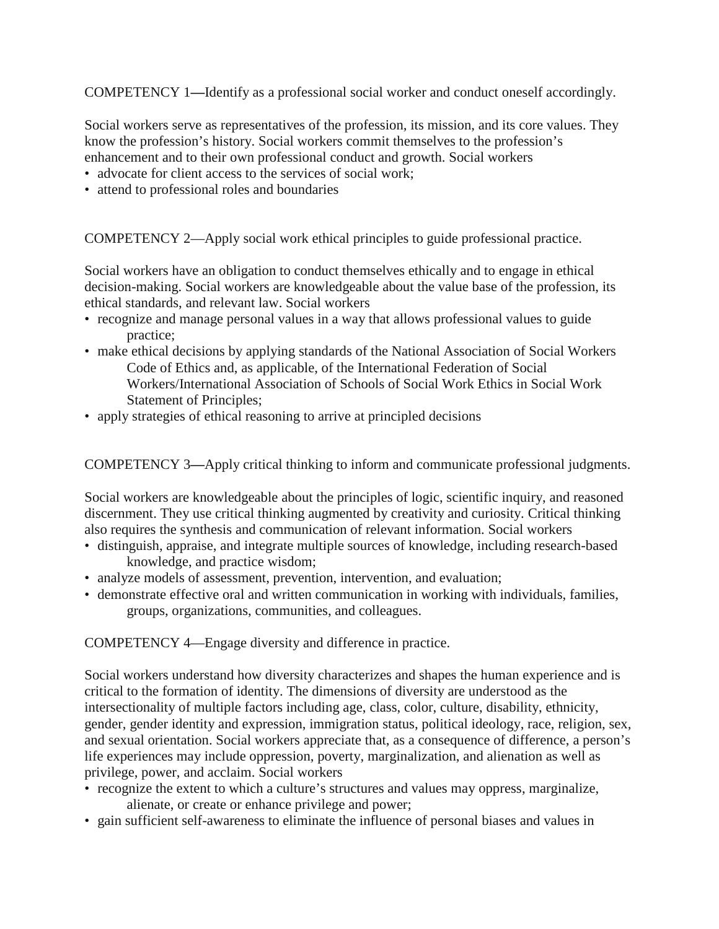COMPETENCY 1**—**Identify as a professional social worker and conduct oneself accordingly.

Social workers serve as representatives of the profession, its mission, and its core values. They know the profession's history. Social workers commit themselves to the profession's enhancement and to their own professional conduct and growth. Social workers

- advocate for client access to the services of social work;
- attend to professional roles and boundaries

COMPETENCY 2—Apply social work ethical principles to guide professional practice.

Social workers have an obligation to conduct themselves ethically and to engage in ethical decision-making. Social workers are knowledgeable about the value base of the profession, its ethical standards, and relevant law. Social workers

- recognize and manage personal values in a way that allows professional values to guide practice;
- make ethical decisions by applying standards of the National Association of Social Workers Code of Ethics and, as applicable, of the International Federation of Social Workers/International Association of Schools of Social Work Ethics in Social Work Statement of Principles;
- apply strategies of ethical reasoning to arrive at principled decisions

COMPETENCY 3**—**Apply critical thinking to inform and communicate professional judgments.

Social workers are knowledgeable about the principles of logic, scientific inquiry, and reasoned discernment. They use critical thinking augmented by creativity and curiosity. Critical thinking also requires the synthesis and communication of relevant information. Social workers

- distinguish, appraise, and integrate multiple sources of knowledge, including research-based knowledge, and practice wisdom;
- analyze models of assessment, prevention, intervention, and evaluation;
- demonstrate effective oral and written communication in working with individuals, families, groups, organizations, communities, and colleagues.

COMPETENCY 4—Engage diversity and difference in practice.

Social workers understand how diversity characterizes and shapes the human experience and is critical to the formation of identity. The dimensions of diversity are understood as the intersectionality of multiple factors including age, class, color, culture, disability, ethnicity, gender, gender identity and expression, immigration status, political ideology, race, religion, sex, and sexual orientation. Social workers appreciate that, as a consequence of difference, a person's life experiences may include oppression, poverty, marginalization, and alienation as well as privilege, power, and acclaim. Social workers

- recognize the extent to which a culture's structures and values may oppress, marginalize, alienate, or create or enhance privilege and power;
- gain sufficient self-awareness to eliminate the influence of personal biases and values in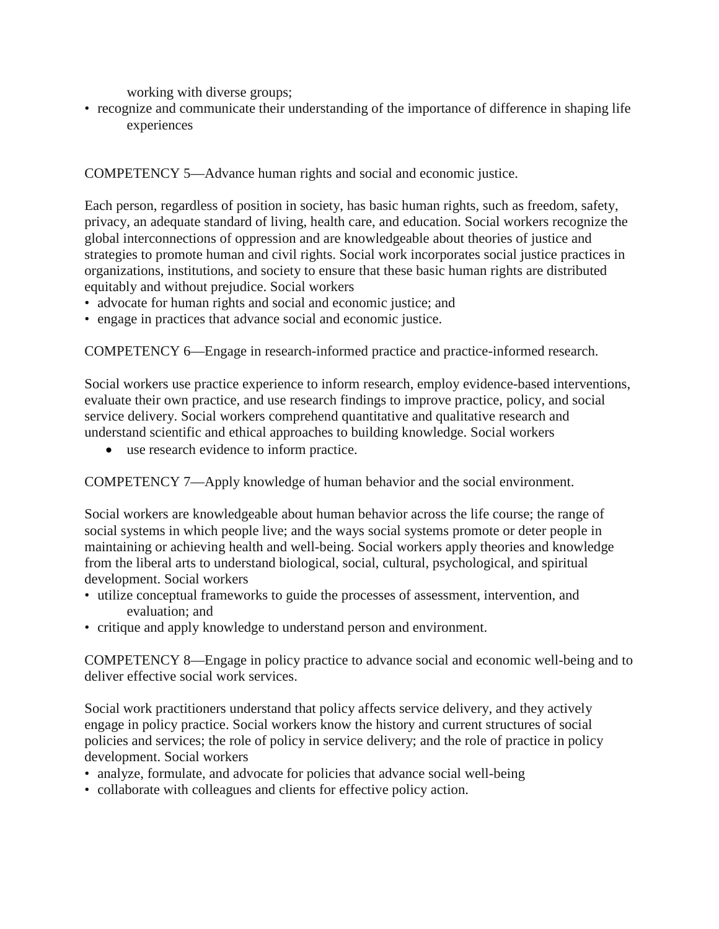working with diverse groups;

• recognize and communicate their understanding of the importance of difference in shaping life experiences

COMPETENCY 5—Advance human rights and social and economic justice.

Each person, regardless of position in society, has basic human rights, such as freedom, safety, privacy, an adequate standard of living, health care, and education. Social workers recognize the global interconnections of oppression and are knowledgeable about theories of justice and strategies to promote human and civil rights. Social work incorporates social justice practices in organizations, institutions, and society to ensure that these basic human rights are distributed equitably and without prejudice. Social workers

- advocate for human rights and social and economic justice; and
- engage in practices that advance social and economic justice.

COMPETENCY 6—Engage in research-informed practice and practice-informed research.

Social workers use practice experience to inform research, employ evidence-based interventions, evaluate their own practice, and use research findings to improve practice, policy, and social service delivery. Social workers comprehend quantitative and qualitative research and understand scientific and ethical approaches to building knowledge. Social workers

• use research evidence to inform practice.

COMPETENCY 7—Apply knowledge of human behavior and the social environment.

Social workers are knowledgeable about human behavior across the life course; the range of social systems in which people live; and the ways social systems promote or deter people in maintaining or achieving health and well-being. Social workers apply theories and knowledge from the liberal arts to understand biological, social, cultural, psychological, and spiritual development. Social workers

- utilize conceptual frameworks to guide the processes of assessment, intervention, and evaluation; and
- critique and apply knowledge to understand person and environment.

COMPETENCY 8—Engage in policy practice to advance social and economic well-being and to deliver effective social work services.

Social work practitioners understand that policy affects service delivery, and they actively engage in policy practice. Social workers know the history and current structures of social policies and services; the role of policy in service delivery; and the role of practice in policy development. Social workers

- analyze, formulate, and advocate for policies that advance social well-being
- collaborate with colleagues and clients for effective policy action.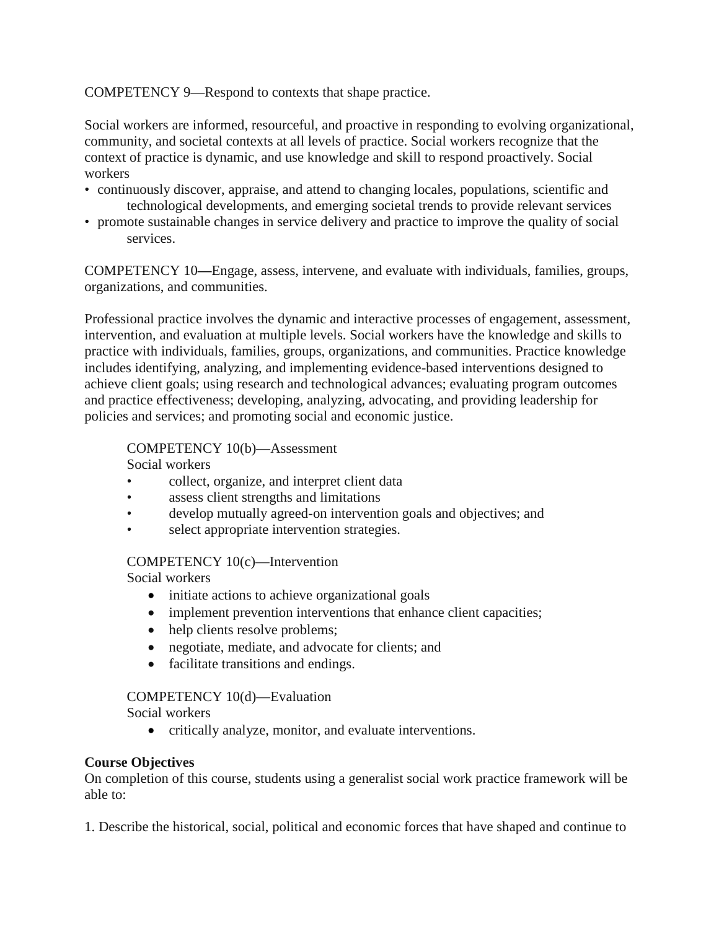COMPETENCY 9—Respond to contexts that shape practice.

Social workers are informed, resourceful, and proactive in responding to evolving organizational, community, and societal contexts at all levels of practice. Social workers recognize that the context of practice is dynamic, and use knowledge and skill to respond proactively. Social workers

- continuously discover, appraise, and attend to changing locales, populations, scientific and technological developments, and emerging societal trends to provide relevant services
- promote sustainable changes in service delivery and practice to improve the quality of social services.

COMPETENCY 10**—**Engage, assess, intervene, and evaluate with individuals, families, groups, organizations, and communities.

Professional practice involves the dynamic and interactive processes of engagement, assessment, intervention, and evaluation at multiple levels. Social workers have the knowledge and skills to practice with individuals, families, groups, organizations, and communities. Practice knowledge includes identifying, analyzing, and implementing evidence-based interventions designed to achieve client goals; using research and technological advances; evaluating program outcomes and practice effectiveness; developing, analyzing, advocating, and providing leadership for policies and services; and promoting social and economic justice.

COMPETENCY 10(b)—Assessment

Social workers

- collect, organize, and interpret client data
- assess client strengths and limitations
- develop mutually agreed-on intervention goals and objectives; and
- select appropriate intervention strategies.

### COMPETENCY 10(c)—Intervention

Social workers

- initiate actions to achieve organizational goals
- implement prevention interventions that enhance client capacities;
- help clients resolve problems;
- negotiate, mediate, and advocate for clients; and
- facilitate transitions and endings.

#### COMPETENCY 10(d)—Evaluation

Social workers

• critically analyze, monitor, and evaluate interventions.

#### **Course Objectives**

On completion of this course, students using a generalist social work practice framework will be able to:

1. Describe the historical, social, political and economic forces that have shaped and continue to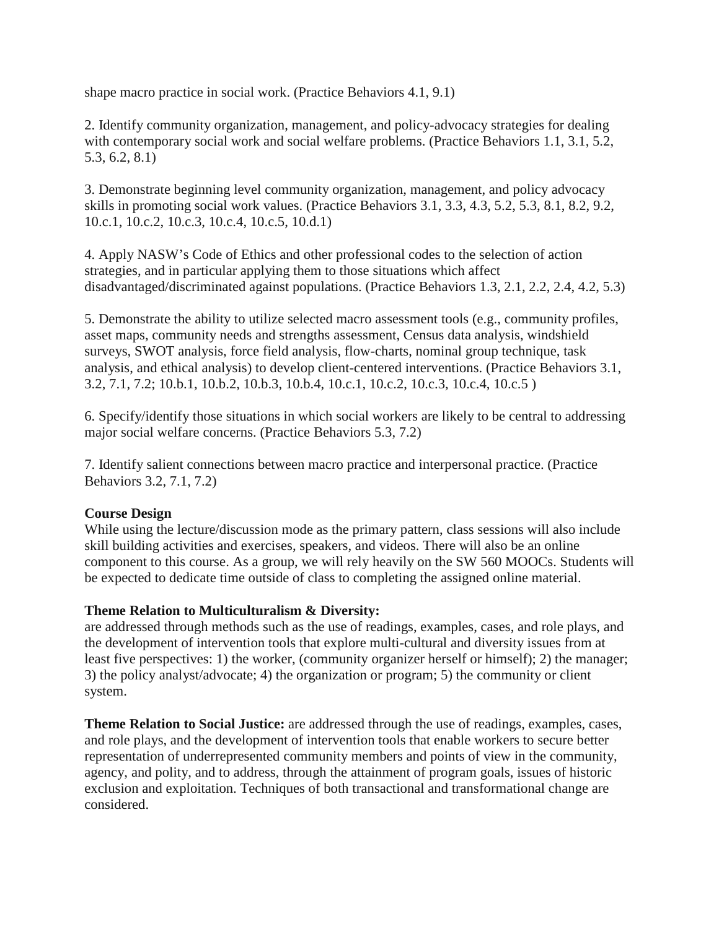shape macro practice in social work. (Practice Behaviors 4.1, 9.1)

2. Identify community organization, management, and policy-advocacy strategies for dealing with contemporary social work and social welfare problems. (Practice Behaviors 1.1, 3.1, 5.2, 5.3, 6.2, 8.1)

3. Demonstrate beginning level community organization, management, and policy advocacy skills in promoting social work values. (Practice Behaviors 3.1, 3.3, 4.3, 5.2, 5.3, 8.1, 8.2, 9.2, 10.c.1, 10.c.2, 10.c.3, 10.c.4, 10.c.5, 10.d.1)

4. Apply NASW's Code of Ethics and other professional codes to the selection of action strategies, and in particular applying them to those situations which affect disadvantaged/discriminated against populations. (Practice Behaviors 1.3, 2.1, 2.2, 2.4, 4.2, 5.3)

5. Demonstrate the ability to utilize selected macro assessment tools (e.g., community profiles, asset maps, community needs and strengths assessment, Census data analysis, windshield surveys, SWOT analysis, force field analysis, flow-charts, nominal group technique, task analysis, and ethical analysis) to develop client-centered interventions. (Practice Behaviors 3.1, 3.2, 7.1, 7.2; 10.b.1, 10.b.2, 10.b.3, 10.b.4, 10.c.1, 10.c.2, 10.c.3, 10.c.4, 10.c.5 )

6. Specify/identify those situations in which social workers are likely to be central to addressing major social welfare concerns. (Practice Behaviors 5.3, 7.2)

7. Identify salient connections between macro practice and interpersonal practice. (Practice Behaviors 3.2, 7.1, 7.2)

### **Course Design**

While using the lecture/discussion mode as the primary pattern, class sessions will also include skill building activities and exercises, speakers, and videos. There will also be an online component to this course. As a group, we will rely heavily on the SW 560 MOOCs. Students will be expected to dedicate time outside of class to completing the assigned online material.

### **Theme Relation to Multiculturalism & Diversity:**

are addressed through methods such as the use of readings, examples, cases, and role plays, and the development of intervention tools that explore multi-cultural and diversity issues from at least five perspectives: 1) the worker, (community organizer herself or himself); 2) the manager; 3) the policy analyst/advocate; 4) the organization or program; 5) the community or client system.

**Theme Relation to Social Justice:** are addressed through the use of readings, examples, cases, and role plays, and the development of intervention tools that enable workers to secure better representation of underrepresented community members and points of view in the community, agency, and polity, and to address, through the attainment of program goals, issues of historic exclusion and exploitation. Techniques of both transactional and transformational change are considered.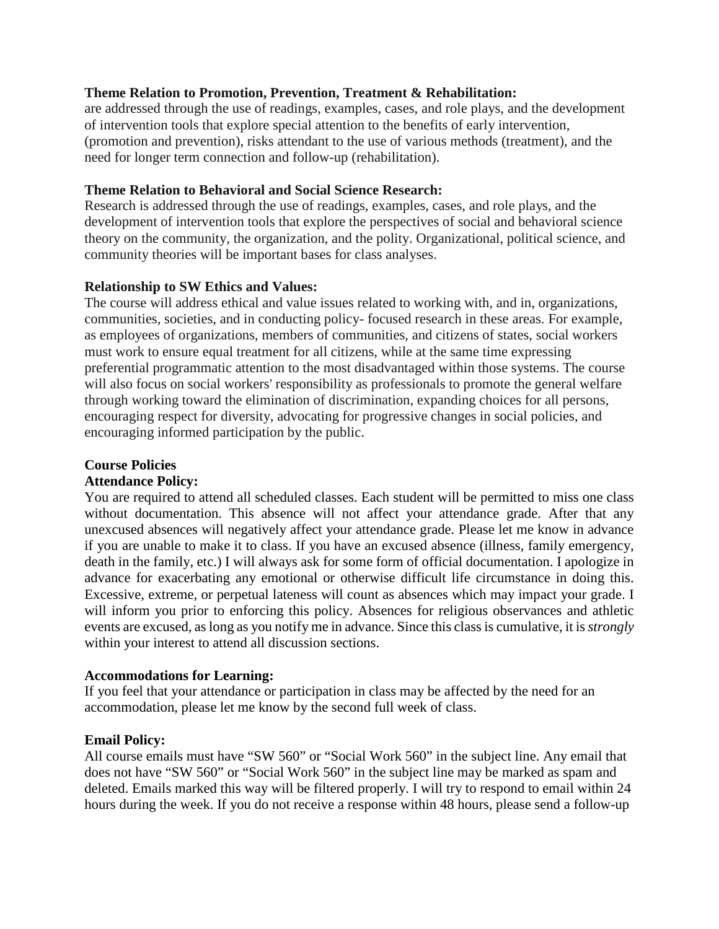#### **Theme Relation to Promotion, Prevention, Treatment & Rehabilitation:**

are addressed through the use of readings, examples, cases, and role plays, and the development of intervention tools that explore special attention to the benefits of early intervention, (promotion and prevention), risks attendant to the use of various methods (treatment), and the need for longer term connection and follow-up (rehabilitation).

### **Theme Relation to Behavioral and Social Science Research:**

Research is addressed through the use of readings, examples, cases, and role plays, and the development of intervention tools that explore the perspectives of social and behavioral science theory on the community, the organization, and the polity. Organizational, political science, and community theories will be important bases for class analyses.

### **Relationship to SW Ethics and Values:**

The course will address ethical and value issues related to working with, and in, organizations, communities, societies, and in conducting policy- focused research in these areas. For example, as employees of organizations, members of communities, and citizens of states, social workers must work to ensure equal treatment for all citizens, while at the same time expressing preferential programmatic attention to the most disadvantaged within those systems. The course will also focus on social workers' responsibility as professionals to promote the general welfare through working toward the elimination of discrimination, expanding choices for all persons, encouraging respect for diversity, advocating for progressive changes in social policies, and encouraging informed participation by the public.

### **Course Policies**

#### **Attendance Policy:**

You are required to attend all scheduled classes. Each student will be permitted to miss one class without documentation. This absence will not affect your attendance grade. After that any unexcused absences will negatively affect your attendance grade. Please let me know in advance if you are unable to make it to class. If you have an excused absence (illness, family emergency, death in the family, etc.) I will always ask for some form of official documentation. I apologize in advance for exacerbating any emotional or otherwise difficult life circumstance in doing this. Excessive, extreme, or perpetual lateness will count as absences which may impact your grade. I will inform you prior to enforcing this policy. Absences for religious observances and athletic events are excused, as long as you notify me in advance. Since this class is cumulative, it is *strongly* within your interest to attend all discussion sections.

#### **Accommodations for Learning:**

If you feel that your attendance or participation in class may be affected by the need for an accommodation, please let me know by the second full week of class.

### **Email Policy:**

All course emails must have "SW 560" or "Social Work 560" in the subject line. Any email that does not have "SW 560" or "Social Work 560" in the subject line may be marked as spam and deleted. Emails marked this way will be filtered properly. I will try to respond to email within 24 hours during the week. If you do not receive a response within 48 hours, please send a follow-up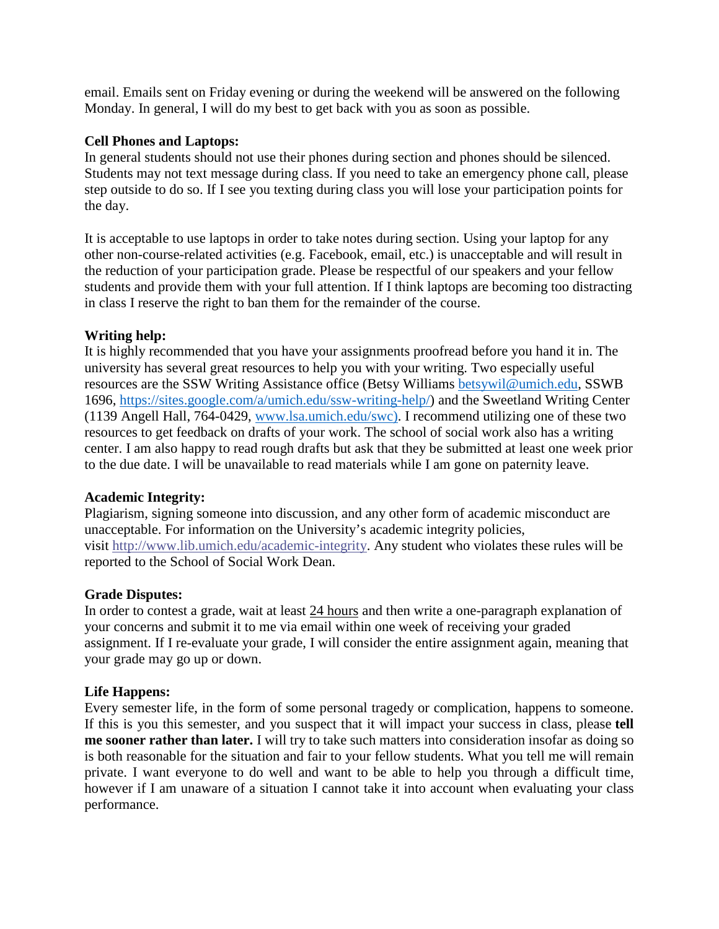email. Emails sent on Friday evening or during the weekend will be answered on the following Monday. In general, I will do my best to get back with you as soon as possible.

#### **Cell Phones and Laptops:**

In general students should not use their phones during section and phones should be silenced. Students may not text message during class. If you need to take an emergency phone call, please step outside to do so. If I see you texting during class you will lose your participation points for the day.

It is acceptable to use laptops in order to take notes during section. Using your laptop for any other non-course-related activities (e.g. Facebook, email, etc.) is unacceptable and will result in the reduction of your participation grade. Please be respectful of our speakers and your fellow students and provide them with your full attention. If I think laptops are becoming too distracting in class I reserve the right to ban them for the remainder of the course.

### **Writing help:**

It is highly recommended that you have your assignments proofread before you hand it in. The university has several great resources to help you with your writing. Two especially useful resources are the SSW Writing Assistance office (Betsy Williams [betsywil@umich.edu,](mailto:betsywil@umich.edu) SSWB 1696, [https://sites.google.com/a/umich.edu/ssw-writing-help/\)](https://sites.google.com/a/umich.edu/ssw-writing-help/) and the Sweetland Writing Center (1139 Angell Hall, 764-0429, [www.lsa.umich.edu/swc\).](http://www.lsa.umich.edu/swc)) I recommend utilizing one of these two resources to get feedback on drafts of your work. The school of social work also has a writing center. I am also happy to read rough drafts but ask that they be submitted at least one week prior to the due date. I will be unavailable to read materials while I am gone on paternity leave.

### **Academic Integrity:**

Plagiarism, signing someone into discussion, and any other form of academic misconduct are unacceptable. For information on the University's academic integrity policies, visit [http://www.lib.umich.edu/academic-integrity.](http://www.lib.umich.edu/academic-integrity) Any student who violates these rules will be reported to the School of Social Work Dean.

#### **Grade Disputes:**

In order to contest a grade, wait at least 24 hours and then write a one-paragraph explanation of your concerns and submit it to me via email within one week of receiving your graded assignment. If I re-evaluate your grade, I will consider the entire assignment again, meaning that your grade may go up or down.

### **Life Happens:**

Every semester life, in the form of some personal tragedy or complication, happens to someone. If this is you this semester, and you suspect that it will impact your success in class, please **tell me sooner rather than later.** I will try to take such matters into consideration insofar as doing so is both reasonable for the situation and fair to your fellow students. What you tell me will remain private. I want everyone to do well and want to be able to help you through a difficult time, however if I am unaware of a situation I cannot take it into account when evaluating your class performance.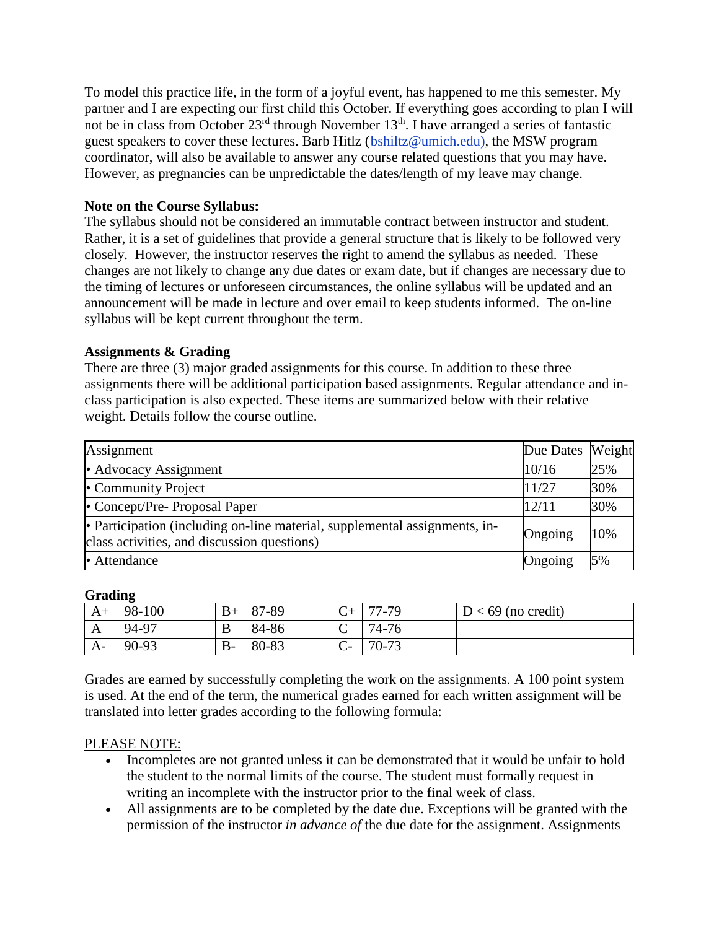To model this practice life, in the form of a joyful event, has happened to me this semester. My partner and I are expecting our first child this October. If everything goes according to plan I will not be in class from October 23<sup>rd</sup> through November 13<sup>th</sup>. I have arranged a series of fantastic guest speakers to cover these lectures. Barb Hitlz (bshiltz@umich.edu), the MSW program coordinator, will also be available to answer any course related questions that you may have. However, as pregnancies can be unpredictable the dates/length of my leave may change.

### **Note on the Course Syllabus:**

The syllabus should not be considered an immutable contract between instructor and student. Rather, it is a set of guidelines that provide a general structure that is likely to be followed very closely. However, the instructor reserves the right to amend the syllabus as needed. These changes are not likely to change any due dates or exam date, but if changes are necessary due to the timing of lectures or unforeseen circumstances, the online syllabus will be updated and an announcement will be made in lecture and over email to keep students informed. The on-line syllabus will be kept current throughout the term.

### **Assignments & Grading**

There are three (3) major graded assignments for this course. In addition to these three assignments there will be additional participation based assignments. Regular attendance and inclass participation is also expected. These items are summarized below with their relative weight. Details follow the course outline.

| Assignment                                                                                                                           | Due Dates Weight |     |
|--------------------------------------------------------------------------------------------------------------------------------------|------------------|-----|
| • Advocacy Assignment                                                                                                                | 10/16            | 25% |
| • Community Project                                                                                                                  | 11/27            | 30% |
| • Concept/Pre- Proposal Paper                                                                                                        | 12/11            | 30% |
| • Participation (including on-line material, supplemental assignments, in-<br>Ongoing<br>class activities, and discussion questions) |                  | 10% |
| • Attendance                                                                                                                         | Ongoing          | 5%  |

#### **Grading**

| $A+$ | 98-100 | $B+$ | 87-89 | $\sim$                  | 77-79 | $D < 69$ (no credit) |
|------|--------|------|-------|-------------------------|-------|----------------------|
| A    | 94-97  | B    | 84-86 | $\sim$<br>◡             | 74-76 |                      |
| A-   | 90-93  | $B-$ | 80-83 | $\sim$<br>$\sim$ $\sim$ | 70-73 |                      |

Grades are earned by successfully completing the work on the assignments. A 100 point system is used. At the end of the term, the numerical grades earned for each written assignment will be translated into letter grades according to the following formula:

#### PLEASE NOTE:

- Incompletes are not granted unless it can be demonstrated that it would be unfair to hold the student to the normal limits of the course. The student must formally request in writing an incomplete with the instructor prior to the final week of class.
- All assignments are to be completed by the date due. Exceptions will be granted with the permission of the instructor *in advance of* the due date for the assignment. Assignments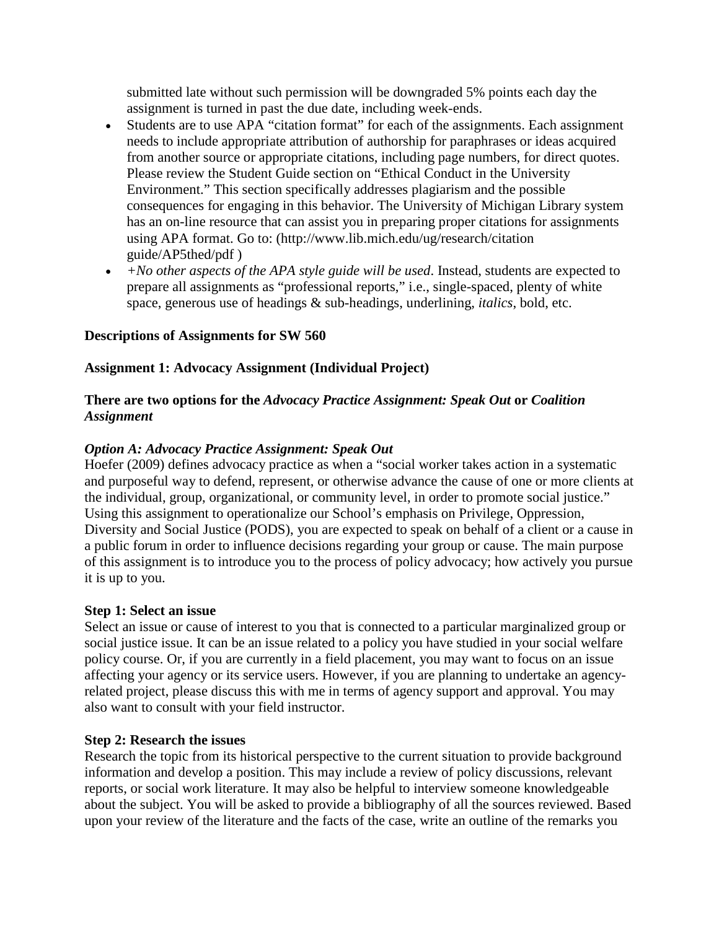submitted late without such permission will be downgraded 5% points each day the assignment is turned in past the due date, including week-ends.

- Students are to use APA "citation format" for each of the assignments. Each assignment needs to include appropriate attribution of authorship for paraphrases or ideas acquired from another source or appropriate citations, including page numbers, for direct quotes. Please review the Student Guide section on "Ethical Conduct in the University Environment." This section specifically addresses plagiarism and the possible consequences for engaging in this behavior. The University of Michigan Library system has an on-line resource that can assist you in preparing proper citations for assignments using APA format. Go to: (http://www.lib.mich.edu/ug/research/citation guide/AP5thed/pdf )
- *+No other aspects of the APA style guide will be used*. Instead, students are expected to prepare all assignments as "professional reports," i.e., single-spaced, plenty of white space, generous use of headings & sub-headings, underlining, *italics*, bold, etc.

### **Descriptions of Assignments for SW 560**

# **Assignment 1: Advocacy Assignment (Individual Project)**

## **There are two options for the** *Advocacy Practice Assignment: Speak Out* **or** *Coalition Assignment*

### *Option A: Advocacy Practice Assignment: Speak Out*

Hoefer (2009) defines advocacy practice as when a "social worker takes action in a systematic and purposeful way to defend, represent, or otherwise advance the cause of one or more clients at the individual, group, organizational, or community level, in order to promote social justice." Using this assignment to operationalize our School's emphasis on Privilege, Oppression, Diversity and Social Justice (PODS), you are expected to speak on behalf of a client or a cause in a public forum in order to influence decisions regarding your group or cause. The main purpose of this assignment is to introduce you to the process of policy advocacy; how actively you pursue it is up to you.

### **Step 1: Select an issue**

Select an issue or cause of interest to you that is connected to a particular marginalized group or social justice issue. It can be an issue related to a policy you have studied in your social welfare policy course. Or, if you are currently in a field placement, you may want to focus on an issue affecting your agency or its service users. However, if you are planning to undertake an agencyrelated project, please discuss this with me in terms of agency support and approval. You may also want to consult with your field instructor.

### **Step 2: Research the issues**

Research the topic from its historical perspective to the current situation to provide background information and develop a position. This may include a review of policy discussions, relevant reports, or social work literature. It may also be helpful to interview someone knowledgeable about the subject. You will be asked to provide a bibliography of all the sources reviewed. Based upon your review of the literature and the facts of the case, write an outline of the remarks you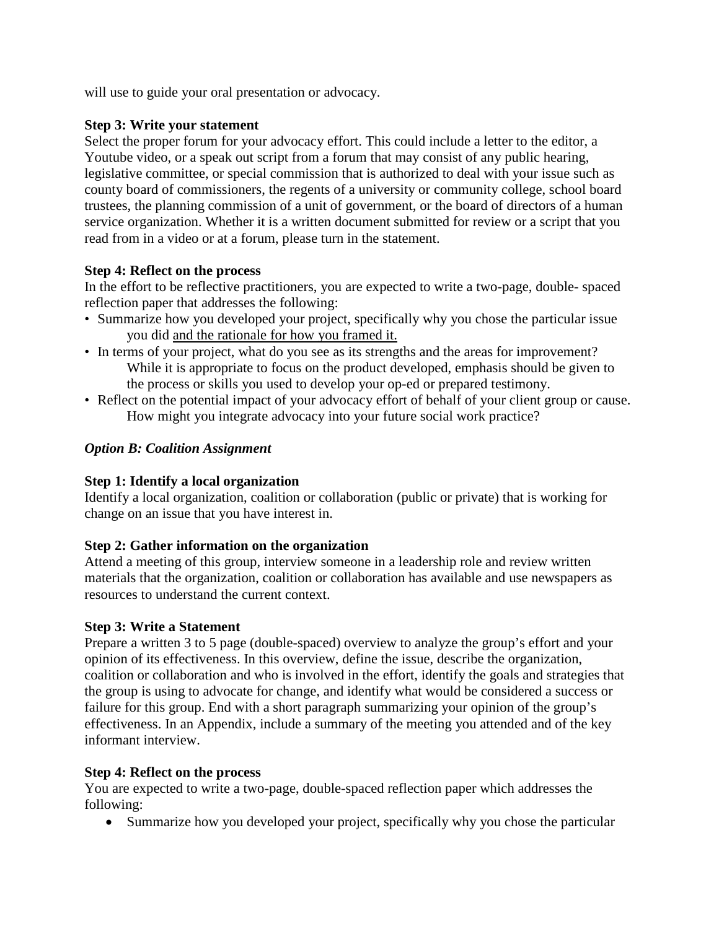will use to guide your oral presentation or advocacy.

### **Step 3: Write your statement**

Select the proper forum for your advocacy effort. This could include a letter to the editor, a Youtube video, or a speak out script from a forum that may consist of any public hearing, legislative committee, or special commission that is authorized to deal with your issue such as county board of commissioners, the regents of a university or community college, school board trustees, the planning commission of a unit of government, or the board of directors of a human service organization. Whether it is a written document submitted for review or a script that you read from in a video or at a forum, please turn in the statement.

### **Step 4: Reflect on the process**

In the effort to be reflective practitioners, you are expected to write a two-page, double- spaced reflection paper that addresses the following:

- Summarize how you developed your project, specifically why you chose the particular issue you did and the rationale for how you framed it.
- In terms of your project, what do you see as its strengths and the areas for improvement? While it is appropriate to focus on the product developed, emphasis should be given to the process or skills you used to develop your op-ed or prepared testimony.
- Reflect on the potential impact of your advocacy effort of behalf of your client group or cause. How might you integrate advocacy into your future social work practice?

### *Option B: Coalition Assignment*

#### **Step 1: Identify a local organization**

Identify a local organization, coalition or collaboration (public or private) that is working for change on an issue that you have interest in.

#### **Step 2: Gather information on the organization**

Attend a meeting of this group, interview someone in a leadership role and review written materials that the organization, coalition or collaboration has available and use newspapers as resources to understand the current context.

#### **Step 3: Write a Statement**

Prepare a written 3 to 5 page (double-spaced) overview to analyze the group's effort and your opinion of its effectiveness. In this overview, define the issue, describe the organization, coalition or collaboration and who is involved in the effort, identify the goals and strategies that the group is using to advocate for change, and identify what would be considered a success or failure for this group. End with a short paragraph summarizing your opinion of the group's effectiveness. In an Appendix, include a summary of the meeting you attended and of the key informant interview.

#### **Step 4: Reflect on the process**

You are expected to write a two-page, double-spaced reflection paper which addresses the following:

• Summarize how you developed your project, specifically why you chose the particular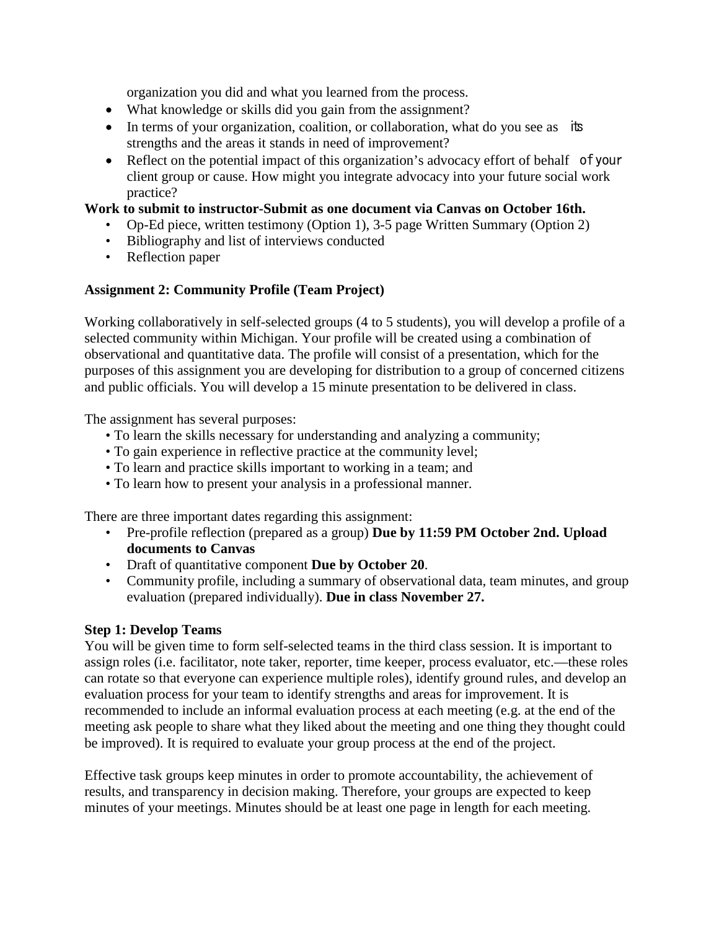organization you did and what you learned from the process.

- What knowledge or skills did you gain from the assignment?
- In terms of your organization, coalition, or collaboration, what do you see as its strengths and the areas it stands in need of improvement?
- Reflect on the potential impact of this organization's advocacy effort of behalf of your client group or cause. How might you integrate advocacy into your future social work practice?

## **Work to submit to instructor-Submit as one document via Canvas on October 16th.**

- Op-Ed piece, written testimony (Option 1), 3-5 page Written Summary (Option 2)
- Bibliography and list of interviews conducted
- Reflection paper

# **Assignment 2: Community Profile (Team Project)**

Working collaboratively in self-selected groups (4 to 5 students), you will develop a profile of a selected community within Michigan. Your profile will be created using a combination of observational and quantitative data. The profile will consist of a presentation, which for the purposes of this assignment you are developing for distribution to a group of concerned citizens and public officials. You will develop a 15 minute presentation to be delivered in class.

The assignment has several purposes:

- To learn the skills necessary for understanding and analyzing a community;
- To gain experience in reflective practice at the community level;
- To learn and practice skills important to working in a team; and
- To learn how to present your analysis in a professional manner.

There are three important dates regarding this assignment:

- Pre-profile reflection (prepared as a group) **Due by 11:59 PM October 2nd. Upload documents to Canvas**
- Draft of quantitative component **Due by October 20**.
- Community profile, including a summary of observational data, team minutes, and group evaluation (prepared individually). **Due in class November 27.**

# **Step 1: Develop Teams**

You will be given time to form self-selected teams in the third class session. It is important to assign roles (i.e. facilitator, note taker, reporter, time keeper, process evaluator, etc.—these roles can rotate so that everyone can experience multiple roles), identify ground rules, and develop an evaluation process for your team to identify strengths and areas for improvement. It is recommended to include an informal evaluation process at each meeting (e.g. at the end of the meeting ask people to share what they liked about the meeting and one thing they thought could be improved). It is required to evaluate your group process at the end of the project.

Effective task groups keep minutes in order to promote accountability, the achievement of results, and transparency in decision making. Therefore, your groups are expected to keep minutes of your meetings. Minutes should be at least one page in length for each meeting.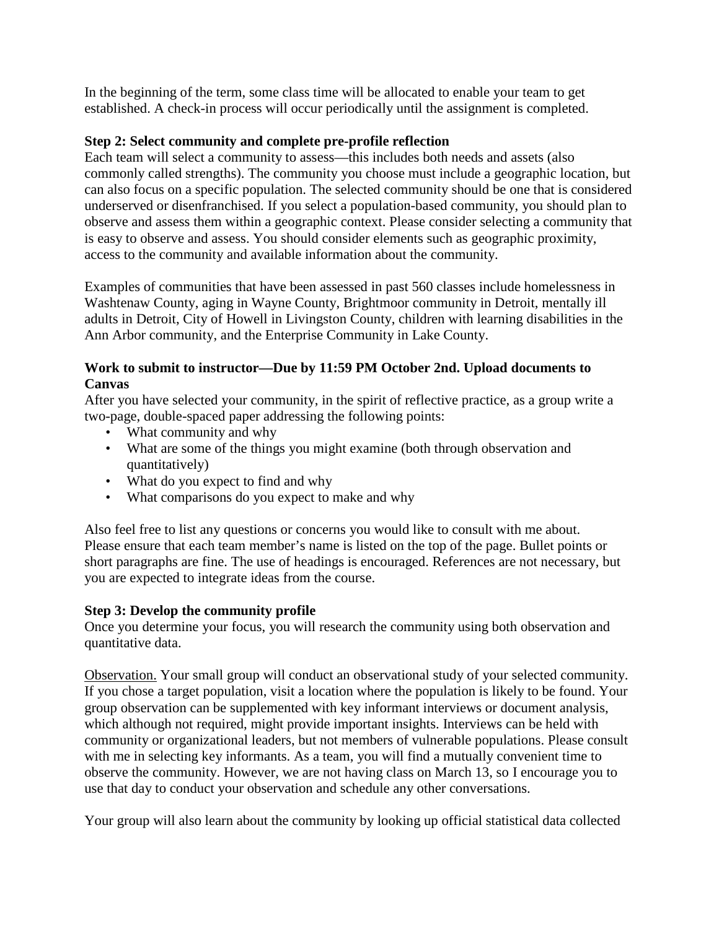In the beginning of the term, some class time will be allocated to enable your team to get established. A check-in process will occur periodically until the assignment is completed.

### **Step 2: Select community and complete pre-profile reflection**

Each team will select a community to assess—this includes both needs and assets (also commonly called strengths). The community you choose must include a geographic location, but can also focus on a specific population. The selected community should be one that is considered underserved or disenfranchised. If you select a population-based community, you should plan to observe and assess them within a geographic context. Please consider selecting a community that is easy to observe and assess. You should consider elements such as geographic proximity, access to the community and available information about the community.

Examples of communities that have been assessed in past 560 classes include homelessness in Washtenaw County, aging in Wayne County, Brightmoor community in Detroit, mentally ill adults in Detroit, City of Howell in Livingston County, children with learning disabilities in the Ann Arbor community, and the Enterprise Community in Lake County.

### **Work to submit to instructor—Due by 11:59 PM October 2nd. Upload documents to Canvas**

After you have selected your community, in the spirit of reflective practice, as a group write a two-page, double-spaced paper addressing the following points:

- What community and why
- What are some of the things you might examine (both through observation and quantitatively)
- What do you expect to find and why
- What comparisons do you expect to make and why

Also feel free to list any questions or concerns you would like to consult with me about. Please ensure that each team member's name is listed on the top of the page. Bullet points or short paragraphs are fine. The use of headings is encouraged. References are not necessary, but you are expected to integrate ideas from the course.

#### **Step 3: Develop the community profile**

Once you determine your focus, you will research the community using both observation and quantitative data.

Observation. Your small group will conduct an observational study of your selected community. If you chose a target population, visit a location where the population is likely to be found. Your group observation can be supplemented with key informant interviews or document analysis, which although not required, might provide important insights. Interviews can be held with community or organizational leaders, but not members of vulnerable populations. Please consult with me in selecting key informants. As a team, you will find a mutually convenient time to observe the community. However, we are not having class on March 13, so I encourage you to use that day to conduct your observation and schedule any other conversations.

Your group will also learn about the community by looking up official statistical data collected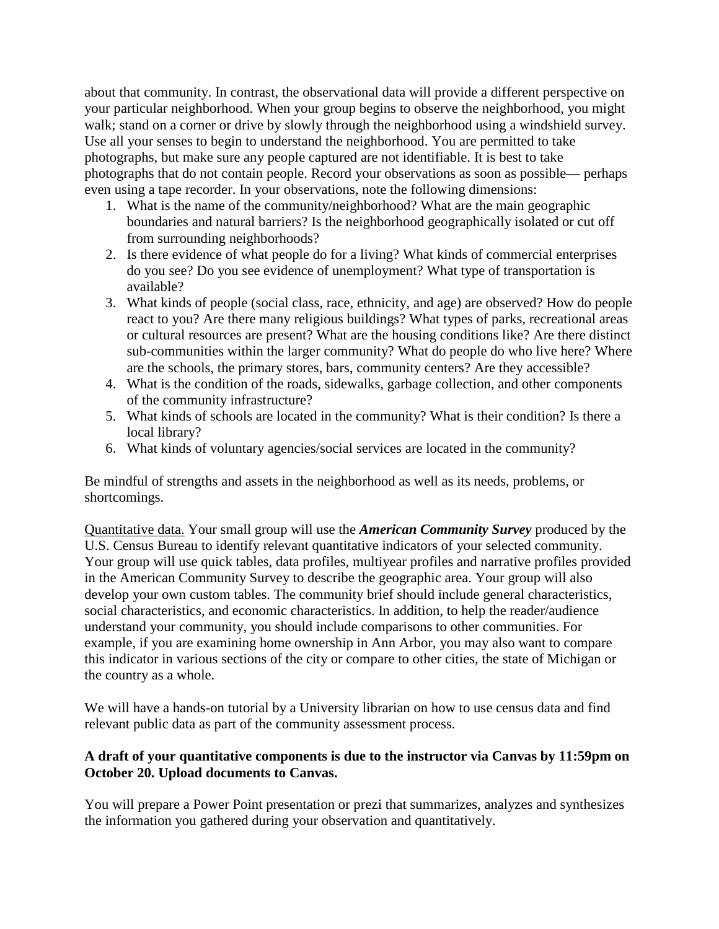about that community. In contrast, the observational data will provide a different perspective on your particular neighborhood. When your group begins to observe the neighborhood, you might walk; stand on a corner or drive by slowly through the neighborhood using a windshield survey. Use all your senses to begin to understand the neighborhood. You are permitted to take photographs, but make sure any people captured are not identifiable. It is best to take photographs that do not contain people. Record your observations as soon as possible— perhaps even using a tape recorder. In your observations, note the following dimensions:

- 1. What is the name of the community/neighborhood? What are the main geographic boundaries and natural barriers? Is the neighborhood geographically isolated or cut off from surrounding neighborhoods?
- 2. Is there evidence of what people do for a living? What kinds of commercial enterprises do you see? Do you see evidence of unemployment? What type of transportation is available?
- 3. What kinds of people (social class, race, ethnicity, and age) are observed? How do people react to you? Are there many religious buildings? What types of parks, recreational areas or cultural resources are present? What are the housing conditions like? Are there distinct sub-communities within the larger community? What do people do who live here? Where are the schools, the primary stores, bars, community centers? Are they accessible?
- 4. What is the condition of the roads, sidewalks, garbage collection, and other components of the community infrastructure?
- 5. What kinds of schools are located in the community? What is their condition? Is there a local library?
- 6. What kinds of voluntary agencies/social services are located in the community?

Be mindful of strengths and assets in the neighborhood as well as its needs, problems, or shortcomings.

Quantitative data. Your small group will use the *American Community Survey* produced by the U.S. Census Bureau to identify relevant quantitative indicators of your selected community. Your group will use quick tables, data profiles, multiyear profiles and narrative profiles provided in the American Community Survey to describe the geographic area. Your group will also develop your own custom tables. The community brief should include general characteristics, social characteristics, and economic characteristics. In addition, to help the reader/audience understand your community, you should include comparisons to other communities. For example, if you are examining home ownership in Ann Arbor, you may also want to compare this indicator in various sections of the city or compare to other cities, the state of Michigan or the country as a whole.

We will have a hands-on tutorial by a University librarian on how to use census data and find relevant public data as part of the community assessment process.

# **A draft of your quantitative components is due to the instructor via Canvas by 11:59pm on October 20. Upload documents to Canvas.**

You will prepare a Power Point presentation or prezi that summarizes, analyzes and synthesizes the information you gathered during your observation and quantitatively.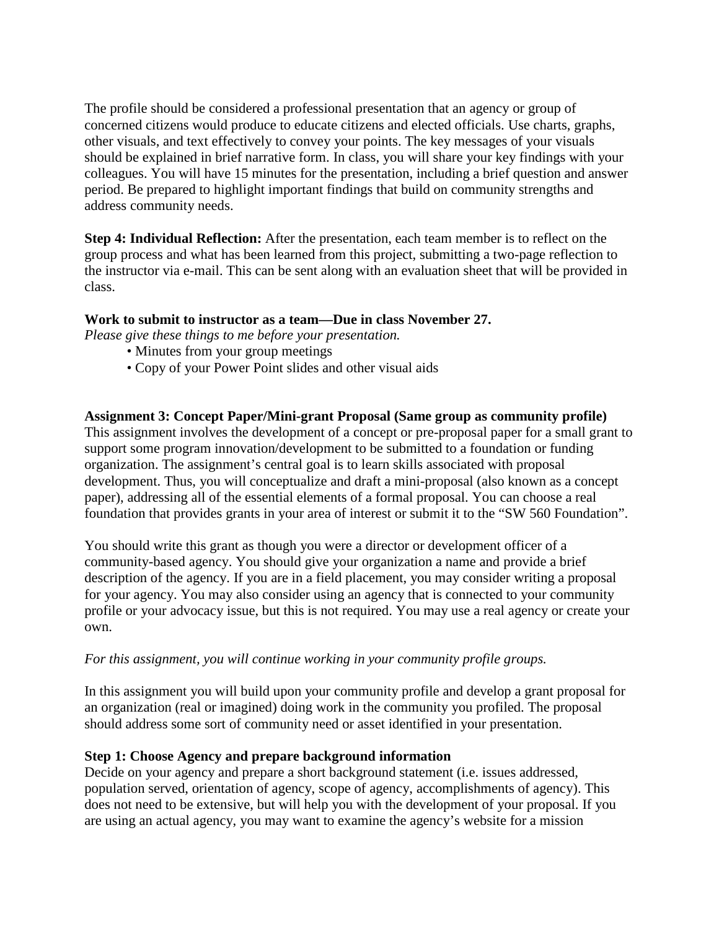The profile should be considered a professional presentation that an agency or group of concerned citizens would produce to educate citizens and elected officials. Use charts, graphs, other visuals, and text effectively to convey your points. The key messages of your visuals should be explained in brief narrative form. In class, you will share your key findings with your colleagues. You will have 15 minutes for the presentation, including a brief question and answer period. Be prepared to highlight important findings that build on community strengths and address community needs.

**Step 4: Individual Reflection:** After the presentation, each team member is to reflect on the group process and what has been learned from this project, submitting a two-page reflection to the instructor via e-mail. This can be sent along with an evaluation sheet that will be provided in class.

### **Work to submit to instructor as a team—Due in class November 27.**

*Please give these things to me before your presentation.*

- Minutes from your group meetings
- Copy of your Power Point slides and other visual aids

#### **Assignment 3: Concept Paper/Mini-grant Proposal (Same group as community profile)**

This assignment involves the development of a concept or pre-proposal paper for a small grant to support some program innovation/development to be submitted to a foundation or funding organization. The assignment's central goal is to learn skills associated with proposal development. Thus, you will conceptualize and draft a mini-proposal (also known as a concept paper), addressing all of the essential elements of a formal proposal. You can choose a real foundation that provides grants in your area of interest or submit it to the "SW 560 Foundation".

You should write this grant as though you were a director or development officer of a community-based agency. You should give your organization a name and provide a brief description of the agency. If you are in a field placement, you may consider writing a proposal for your agency. You may also consider using an agency that is connected to your community profile or your advocacy issue, but this is not required. You may use a real agency or create your own.

#### *For this assignment, you will continue working in your community profile groups.*

In this assignment you will build upon your community profile and develop a grant proposal for an organization (real or imagined) doing work in the community you profiled. The proposal should address some sort of community need or asset identified in your presentation.

#### **Step 1: Choose Agency and prepare background information**

Decide on your agency and prepare a short background statement (i.e. issues addressed, population served, orientation of agency, scope of agency, accomplishments of agency). This does not need to be extensive, but will help you with the development of your proposal. If you are using an actual agency, you may want to examine the agency's website for a mission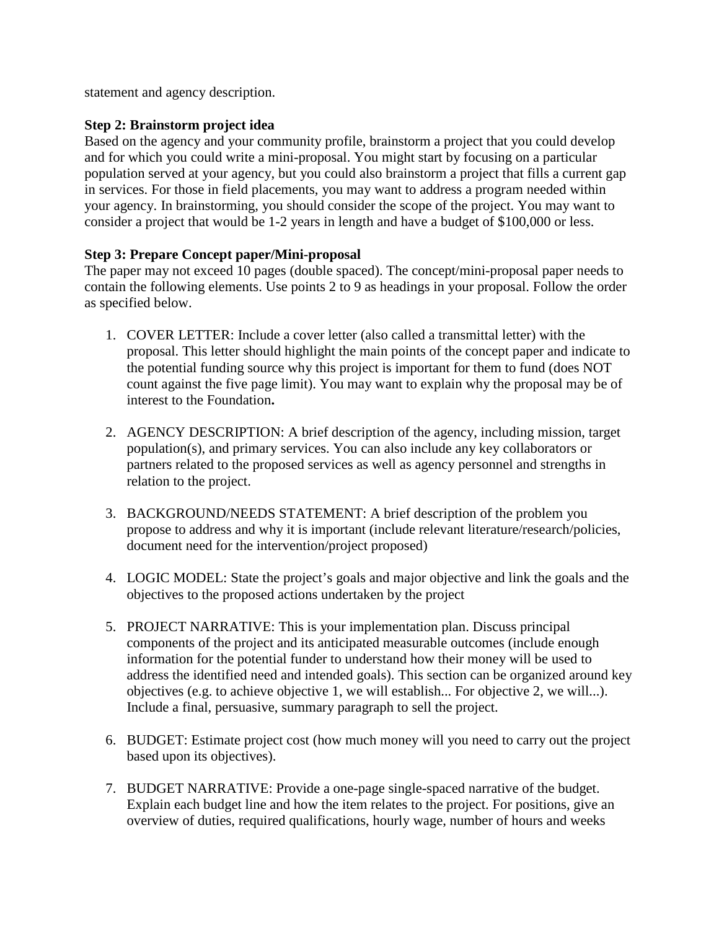statement and agency description.

### **Step 2: Brainstorm project idea**

Based on the agency and your community profile, brainstorm a project that you could develop and for which you could write a mini-proposal. You might start by focusing on a particular population served at your agency, but you could also brainstorm a project that fills a current gap in services. For those in field placements, you may want to address a program needed within your agency. In brainstorming, you should consider the scope of the project. You may want to consider a project that would be 1-2 years in length and have a budget of \$100,000 or less.

# **Step 3: Prepare Concept paper/Mini-proposal**

The paper may not exceed 10 pages (double spaced). The concept/mini-proposal paper needs to contain the following elements. Use points 2 to 9 as headings in your proposal. Follow the order as specified below.

- 1. COVER LETTER: Include a cover letter (also called a transmittal letter) with the proposal. This letter should highlight the main points of the concept paper and indicate to the potential funding source why this project is important for them to fund (does NOT count against the five page limit). You may want to explain why the proposal may be of interest to the Foundation**.**
- 2. AGENCY DESCRIPTION: A brief description of the agency, including mission, target population(s), and primary services. You can also include any key collaborators or partners related to the proposed services as well as agency personnel and strengths in relation to the project.
- 3. BACKGROUND/NEEDS STATEMENT: A brief description of the problem you propose to address and why it is important (include relevant literature/research/policies, document need for the intervention/project proposed)
- 4. LOGIC MODEL: State the project's goals and major objective and link the goals and the objectives to the proposed actions undertaken by the project
- 5. PROJECT NARRATIVE: This is your implementation plan. Discuss principal components of the project and its anticipated measurable outcomes (include enough information for the potential funder to understand how their money will be used to address the identified need and intended goals). This section can be organized around key objectives (e.g. to achieve objective 1, we will establish... For objective 2, we will...). Include a final, persuasive, summary paragraph to sell the project.
- 6. BUDGET: Estimate project cost (how much money will you need to carry out the project based upon its objectives).
- 7. BUDGET NARRATIVE: Provide a one-page single-spaced narrative of the budget. Explain each budget line and how the item relates to the project. For positions, give an overview of duties, required qualifications, hourly wage, number of hours and weeks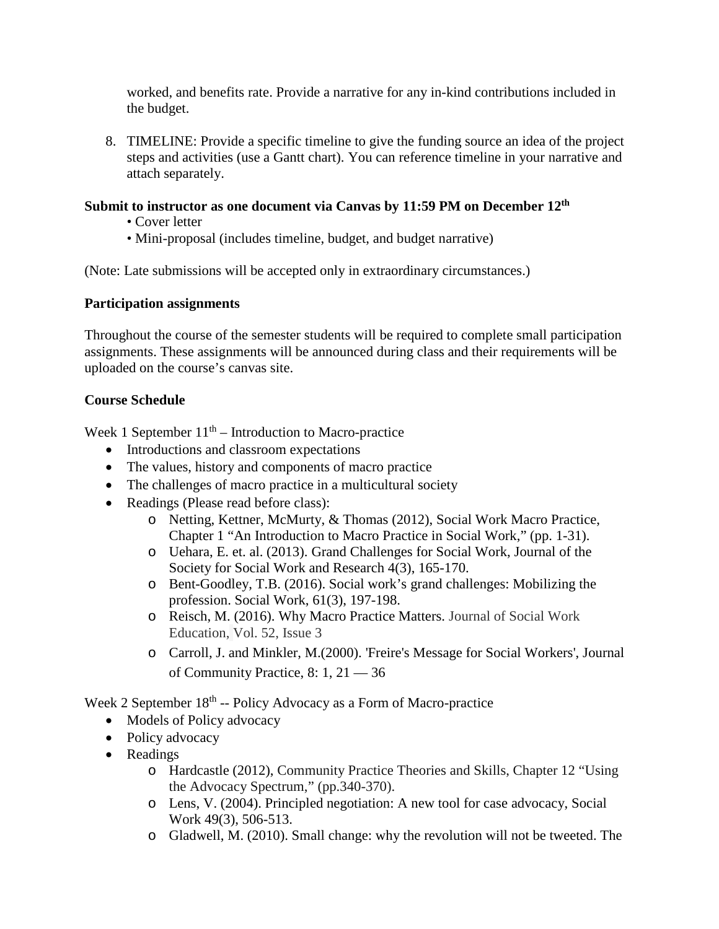worked, and benefits rate. Provide a narrative for any in-kind contributions included in the budget.

8. TIMELINE: Provide a specific timeline to give the funding source an idea of the project steps and activities (use a Gantt chart). You can reference timeline in your narrative and attach separately.

# **Submit to instructor as one document via Canvas by 11:59 PM on December 12th**

- Cover letter
- Mini-proposal (includes timeline, budget, and budget narrative)

(Note: Late submissions will be accepted only in extraordinary circumstances.)

# **Participation assignments**

Throughout the course of the semester students will be required to complete small participation assignments. These assignments will be announced during class and their requirements will be uploaded on the course's canvas site.

# **Course Schedule**

Week 1 September  $11<sup>th</sup>$  – Introduction to Macro-practice

- Introductions and classroom expectations
- The values, history and components of macro practice
- The challenges of macro practice in a multicultural society
- Readings (Please read before class):
	- o Netting, Kettner, McMurty, & Thomas (2012), Social Work Macro Practice, Chapter 1 "An Introduction to Macro Practice in Social Work," (pp. 1-31).
	- o Uehara, E. et. al. (2013). Grand Challenges for Social Work, Journal of the Society for Social Work and Research 4(3), 165-170.
	- o Bent-Goodley, T.B. (2016). Social work's grand challenges: Mobilizing the profession. Social Work, 61(3), 197-198.
	- o Reisch, M. (2016). Why Macro Practice Matters. Journal of Social Work Education, Vol. 52, Issue 3
	- o Carroll, J. and Minkler, M.(2000). 'Freire's Message for Social Workers', Journal of Community Practice, 8: 1, 21 — 36

Week 2 September 18<sup>th</sup> -- Policy Advocacy as a Form of Macro-practice

- Models of Policy advocacy
- Policy advocacy
- Readings
	- o Hardcastle (2012), Community Practice Theories and Skills, Chapter 12 "Using the Advocacy Spectrum," (pp.340-370).
	- o Lens, V. (2004). Principled negotiation: A new tool for case advocacy, Social Work 49(3), 506-513.
	- o Gladwell, M. (2010). Small change: why the revolution will not be tweeted. The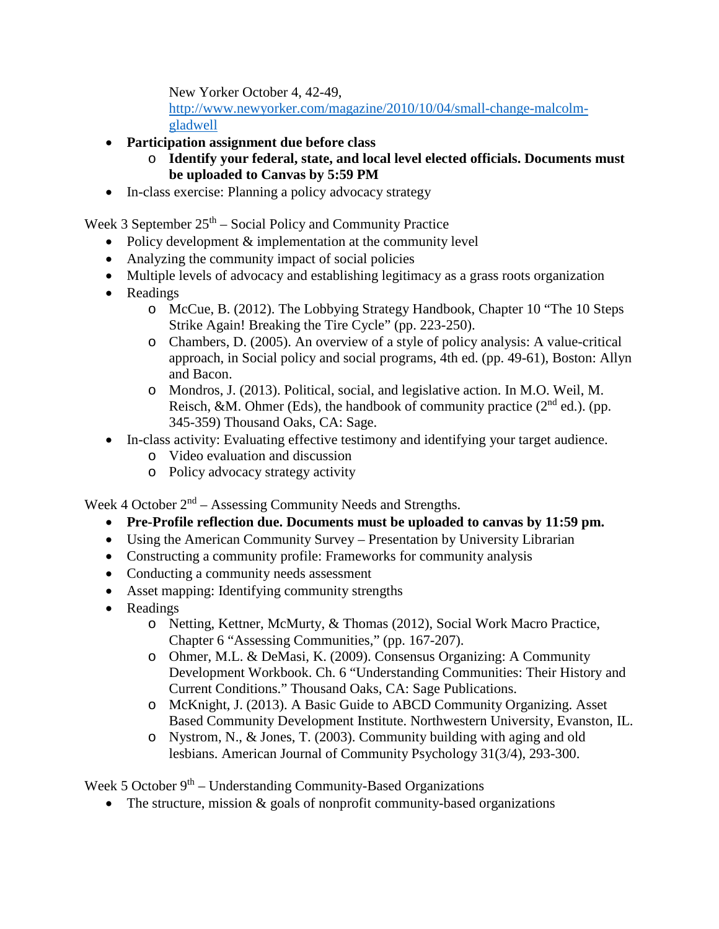New Yorker October 4, 42-49,

[http://www.newyorker.com/magazine/2010/10/04/small-change-malcolm](http://www.newyorker.com/magazine/2010/10/04/small-change-malcolm-gladwell)[gladwell](http://www.newyorker.com/magazine/2010/10/04/small-change-malcolm-gladwell)

- **Participation assignment due before class**
	- o **Identify your federal, state, and local level elected officials. Documents must be uploaded to Canvas by 5:59 PM**
- In-class exercise: Planning a policy advocacy strategy

Week 3 September  $25<sup>th</sup>$  – Social Policy and Community Practice

- Policy development  $&$  implementation at the community level
- Analyzing the community impact of social policies
- Multiple levels of advocacy and establishing legitimacy as a grass roots organization
- Readings
	- o McCue, B. (2012). The Lobbying Strategy Handbook, Chapter 10 "The 10 Steps Strike Again! Breaking the Tire Cycle" (pp. 223-250).
	- o Chambers, D. (2005). An overview of a style of policy analysis: A value-critical approach, in Social policy and social programs, 4th ed. (pp. 49-61), Boston: Allyn and Bacon.
	- o Mondros, J. (2013). Political, social, and legislative action. In M.O. Weil, M. Reisch, &M. Ohmer (Eds), the handbook of community practice  $(2^{nd}$  ed.). (pp. 345-359) Thousand Oaks, CA: Sage.
- In-class activity: Evaluating effective testimony and identifying your target audience.
	- o Video evaluation and discussion
	- o Policy advocacy strategy activity

Week 4 October  $2<sup>nd</sup>$  – Assessing Community Needs and Strengths.

- **Pre-Profile reflection due. Documents must be uploaded to canvas by 11:59 pm.**
- Using the American Community Survey Presentation by University Librarian
- Constructing a community profile: Frameworks for community analysis
- Conducting a community needs assessment
- Asset mapping: Identifying community strengths
- Readings
	- o Netting, Kettner, McMurty, & Thomas (2012), Social Work Macro Practice, Chapter 6 "Assessing Communities," (pp. 167-207).
	- o Ohmer, M.L. & DeMasi, K. (2009). Consensus Organizing: A Community Development Workbook. Ch. 6 "Understanding Communities: Their History and Current Conditions." Thousand Oaks, CA: Sage Publications.
	- o McKnight, J. (2013). A Basic Guide to ABCD Community Organizing. Asset Based Community Development Institute. Northwestern University, Evanston, IL.
	- o Nystrom, N., & Jones, T. (2003). Community building with aging and old lesbians. American Journal of Community Psychology 31(3/4), 293-300.

Week 5 October  $9<sup>th</sup>$  – Understanding Community-Based Organizations

• The structure, mission  $\&$  goals of nonprofit community-based organizations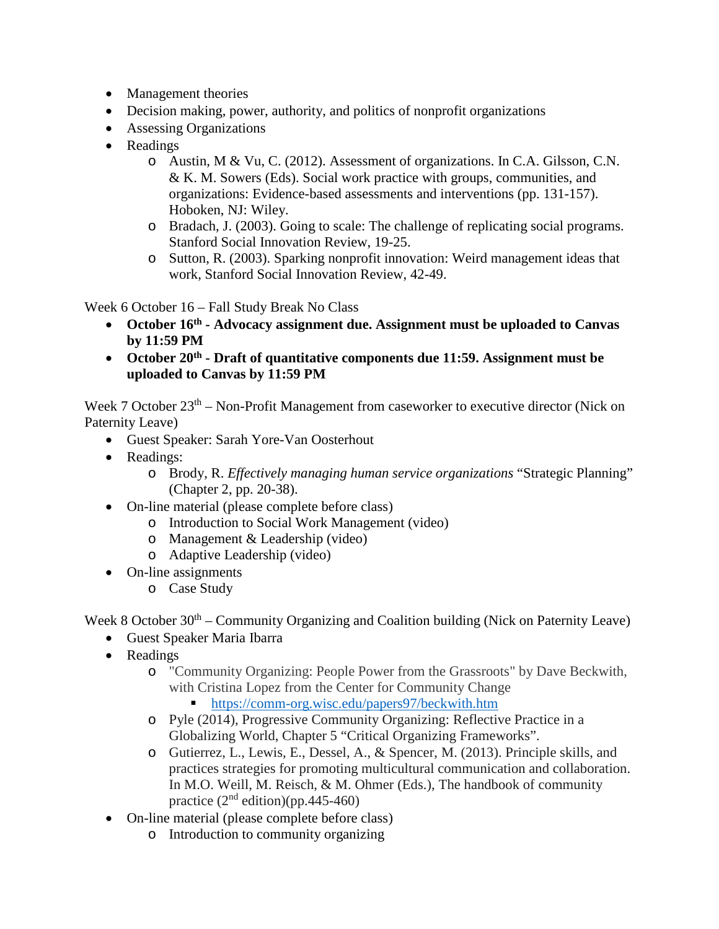- Management theories
- Decision making, power, authority, and politics of nonprofit organizations
- Assessing Organizations
- Readings
	- o Austin, M & Vu, C. (2012). Assessment of organizations. In C.A. Gilsson, C.N. & K. M. Sowers (Eds). Social work practice with groups, communities, and organizations: Evidence-based assessments and interventions (pp. 131-157). Hoboken, NJ: Wiley.
	- o Bradach, J. (2003). Going to scale: The challenge of replicating social programs. Stanford Social Innovation Review, 19-25.
	- o Sutton, R. (2003). Sparking nonprofit innovation: Weird management ideas that work, Stanford Social Innovation Review, 42-49.

Week 6 October 16 – Fall Study Break No Class

- **October 16th - Advocacy assignment due. Assignment must be uploaded to Canvas by 11:59 PM**
- **October 20th - Draft of quantitative components due 11:59. Assignment must be uploaded to Canvas by 11:59 PM**

Week 7 October  $23<sup>th</sup>$  – Non-Profit Management from caseworker to executive director (Nick on Paternity Leave)

- Guest Speaker: Sarah Yore-Van Oosterhout
- Readings:
	- o Brody, R. *Effectively managing human service organizations* "Strategic Planning" (Chapter 2, pp. 20-38).
- On-line material (please complete before class)
	- o Introduction to Social Work Management (video)
	- o Management & Leadership (video)
	- o Adaptive Leadership (video)
- On-line assignments
	- o Case Study

Week 8 October  $30<sup>th</sup>$  – Community Organizing and Coalition building (Nick on Paternity Leave)

- Guest Speaker Maria Ibarra
- Readings
	- o "Community Organizing: People Power from the Grassroots" by Dave Beckwith, with Cristina Lopez from the Center for Community Change
		- <https://comm-org.wisc.edu/papers97/beckwith.htm>
	- o Pyle (2014), Progressive Community Organizing: Reflective Practice in a Globalizing World, Chapter 5 "Critical Organizing Frameworks".
	- o Gutierrez, L., Lewis, E., Dessel, A., & Spencer, M. (2013). Principle skills, and practices strategies for promoting multicultural communication and collaboration. In M.O. Weill, M. Reisch, & M. Ohmer (Eds.), The handbook of community practice  $(2<sup>nd</sup> edition)(pp.445-460)$
- On-line material (please complete before class)
	- o Introduction to community organizing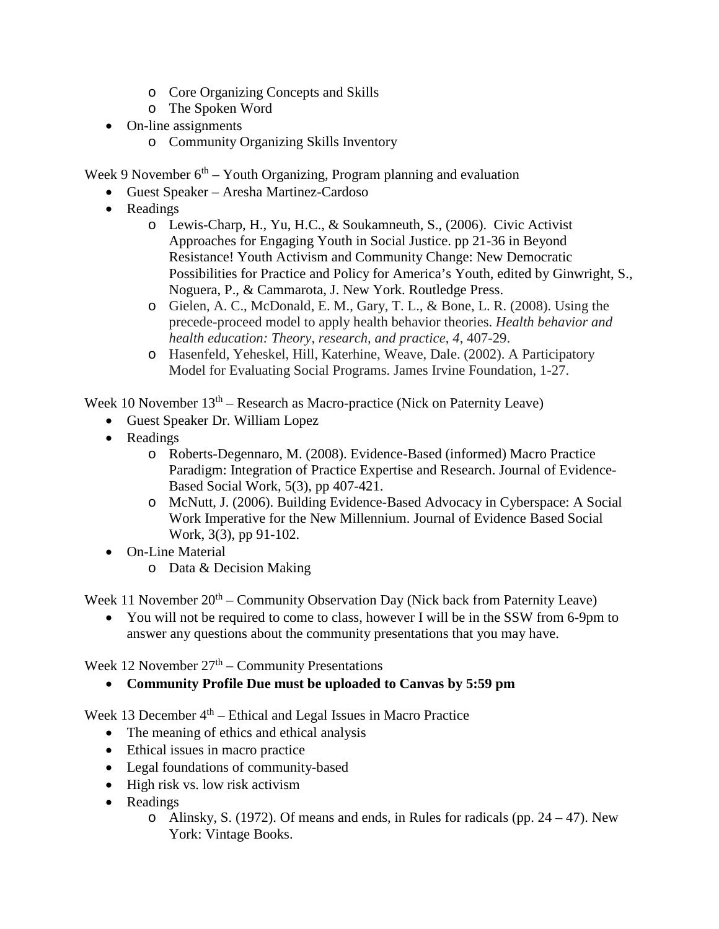- o Core Organizing Concepts and Skills
- o The Spoken Word
- On-line assignments
	- o Community Organizing Skills Inventory

Week 9 November  $6<sup>th</sup>$  – Youth Organizing, Program planning and evaluation

- Guest Speaker Aresha Martinez-Cardoso
- Readings
	- o Lewis-Charp, H., Yu, H.C., & Soukamneuth, S., (2006). Civic Activist Approaches for Engaging Youth in Social Justice. pp 21-36 in Beyond Resistance! Youth Activism and Community Change: New Democratic Possibilities for Practice and Policy for America's Youth, edited by Ginwright, S., Noguera, P., & Cammarota, J. New York. Routledge Press.
	- o Gielen, A. C., McDonald, E. M., Gary, T. L., & Bone, L. R. (2008). Using the precede-proceed model to apply health behavior theories. *Health behavior and health education: Theory, research, and practice*, *4*, 407-29.
	- o Hasenfeld, Yeheskel, Hill, Katerhine, Weave, Dale. (2002). A Participatory Model for Evaluating Social Programs. James Irvine Foundation, 1-27.

Week 10 November  $13<sup>th</sup>$  – Research as Macro-practice (Nick on Paternity Leave)

- Guest Speaker Dr. William Lopez
- Readings
	- o Roberts-Degennaro, M. (2008). Evidence-Based (informed) Macro Practice Paradigm: Integration of Practice Expertise and Research. Journal of Evidence-Based Social Work, 5(3), pp 407-421.
	- o McNutt, J. (2006). Building Evidence-Based Advocacy in Cyberspace: A Social Work Imperative for the New Millennium. Journal of Evidence Based Social Work, 3(3), pp 91-102.
- On-Line Material
	- o Data & Decision Making

Week 11 November  $20<sup>th</sup>$  – Community Observation Day (Nick back from Paternity Leave)

• You will not be required to come to class, however I will be in the SSW from 6-9pm to answer any questions about the community presentations that you may have.

Week 12 November  $27<sup>th</sup>$  – Community Presentations

• **Community Profile Due must be uploaded to Canvas by 5:59 pm**

Week 13 December  $4<sup>th</sup>$  – Ethical and Legal Issues in Macro Practice

- The meaning of ethics and ethical analysis
- Ethical issues in macro practice
- Legal foundations of community-based
- High risk vs. low risk activism
- Readings
	- o Alinsky, S. (1972). Of means and ends, in Rules for radicals (pp.  $24 47$ ). New York: Vintage Books.